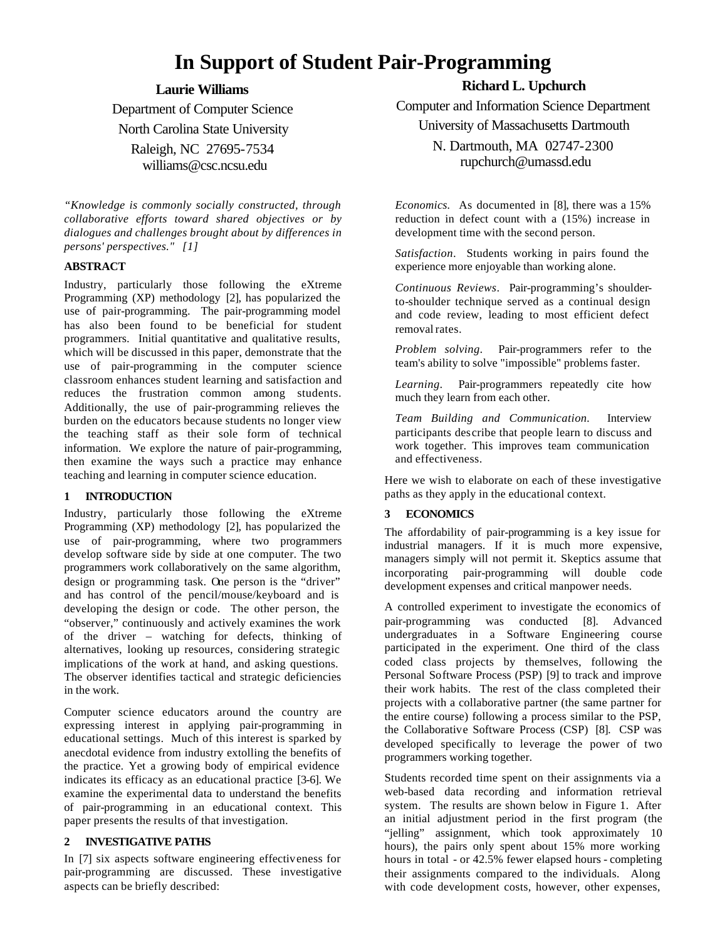# **In Support of Student Pair-Programming**

# **Laurie Williams**

Department of Computer Science North Carolina State University Raleigh, NC 27695-7534 williams@csc.ncsu.edu

*"Knowledge is commonly socially constructed, through collaborative efforts toward shared objectives or by dialogues and challenges brought about by differences in persons' perspectives." [1]*

# **ABSTRACT**

Industry, particularly those following the eXtreme Programming (XP) methodology [2], has popularized the use of pair-programming. The pair-programming model has also been found to be beneficial for student programmers. Initial quantitative and qualitative results, which will be discussed in this paper, demonstrate that the use of pair-programming in the computer science classroom enhances student learning and satisfaction and reduces the frustration common among students. Additionally, the use of pair-programming relieves the burden on the educators because students no longer view the teaching staff as their sole form of technical information. We explore the nature of pair-programming, then examine the ways such a practice may enhance teaching and learning in computer science education.

# **1 INTRODUCTION**

Industry, particularly those following the eXtreme Programming (XP) methodology [2], has popularized the use of pair-programming, where two programmers develop software side by side at one computer. The two programmers work collaboratively on the same algorithm, design or programming task. One person is the "driver" and has control of the pencil/mouse/keyboard and is developing the design or code. The other person, the "observer," continuously and actively examines the work of the driver – watching for defects, thinking of alternatives, looking up resources, considering strategic implications of the work at hand, and asking questions. The observer identifies tactical and strategic deficiencies in the work.

Computer science educators around the country are expressing interest in applying pair-programming in educational settings. Much of this interest is sparked by anecdotal evidence from industry extolling the benefits of the practice. Yet a growing body of empirical evidence indicates its efficacy as an educational practice [3-6]. We examine the experimental data to understand the benefits of pair-programming in an educational context. This paper presents the results of that investigation.

# **2 INVESTIGATIVE PATHS**

In [7] six aspects software engineering effectiveness for pair-programming are discussed. These investigative aspects can be briefly described:

# **Richard L. Upchurch**

Computer and Information Science Department University of Massachusetts Dartmouth

> N. Dartmouth, MA 02747-2300 rupchurch@umassd.edu

*Economics.* As documented in [8], there was a 15% reduction in defect count with a (15%) increase in development time with the second person.

*Satisfaction*. Students working in pairs found the experience more enjoyable than working alone.

*Continuous Reviews*. Pair-programming's shoulderto-shoulder technique served as a continual design and code review, leading to most efficient defect removal rates.

*Problem solving*. Pair-programmers refer to the team's ability to solve "impossible" problems faster.

*Learning*. Pair-programmers repeatedly cite how much they learn from each other.

*Team Building and Communication.* Interview participants describe that people learn to discuss and work together. This improves team communication and effectiveness.

Here we wish to elaborate on each of these investigative paths as they apply in the educational context.

# **3 ECONOMICS**

The affordability of pair-programming is a key issue for industrial managers. If it is much more expensive, managers simply will not permit it. Skeptics assume that incorporating pair-programming will double code development expenses and critical manpower needs.

A controlled experiment to investigate the economics of pair-programming was conducted [8]. Advanced undergraduates in a Software Engineering course participated in the experiment. One third of the class coded class projects by themselves, following the Personal Software Process (PSP) [9] to track and improve their work habits. The rest of the class completed their projects with a collaborative partner (the same partner for the entire course) following a process similar to the PSP, the Collaborative Software Process (CSP) [8]. CSP was developed specifically to leverage the power of two programmers working together.

Students recorded time spent on their assignments via a web-based data recording and information retrieval system. The results are shown below in Figure 1. After an initial adjustment period in the first program (the "jelling" assignment, which took approximately 10 hours), the pairs only spent about 15% more working hours in total - or 42.5% fewer elapsed hours - completing their assignments compared to the individuals. Along with code development costs, however, other expenses,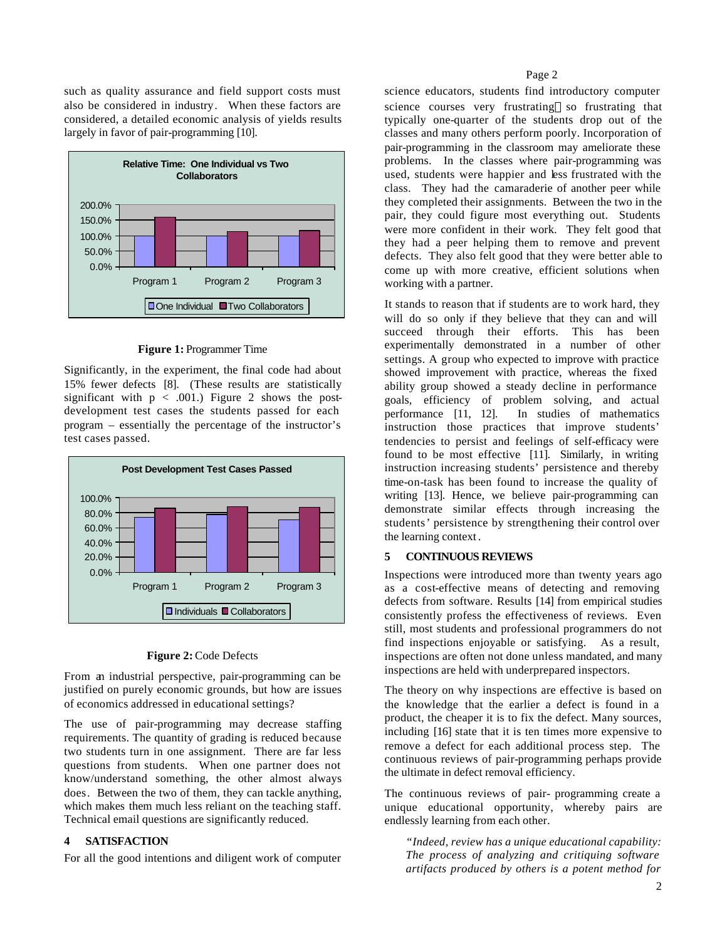such as quality assurance and field support costs must also be considered in industry. When these factors are considered, a detailed economic analysis of yields results largely in favor of pair-programming [10].



#### **Figure 1:** Programmer Time

Significantly, in the experiment, the final code had about 15% fewer defects [8]. (These results are statistically significant with  $p < .001$ .) Figure 2 shows the postdevelopment test cases the students passed for each program – essentially the percentage of the instructor's test cases passed.



#### **Figure 2:** Code Defects

From an industrial perspective, pair-programming can be justified on purely economic grounds, but how are issues of economics addressed in educational settings?

The use of pair-programming may decrease staffing requirements. The quantity of grading is reduced because two students turn in one assignment. There are far less questions from students. When one partner does not know/understand something, the other almost always does. Between the two of them, they can tackle anything, which makes them much less reliant on the teaching staff. Technical email questions are significantly reduced.

#### **4 SATISFACTION**

For all the good intentions and diligent work of computer

science educators, students find introductory computer science courses very frustrating—so frustrating that typically one-quarter of the students drop out of the classes and many others perform poorly. Incorporation of pair-programming in the classroom may ameliorate these problems. In the classes where pair-programming was used, students were happier and less frustrated with the class. They had the camaraderie of another peer while they completed their assignments. Between the two in the pair, they could figure most everything out. Students were more confident in their work. They felt good that they had a peer helping them to remove and prevent defects. They also felt good that they were better able to come up with more creative, efficient solutions when working with a partner.

It stands to reason that if students are to work hard, they will do so only if they believe that they can and will succeed through their efforts. This has been experimentally demonstrated in a number of other settings. A group who expected to improve with practice showed improvement with practice, whereas the fixed ability group showed a steady decline in performance goals, efficiency of problem solving, and actual<br>performance [11, 12]. In studies of mathematics In studies of mathematics instruction those practices that improve students' tendencies to persist and feelings of self-efficacy were found to be most effective [11]. Similarly, in writing instruction increasing students' persistence and thereby time-on-task has been found to increase the quality of writing [13]. Hence, we believe pair-programming can demonstrate similar effects through increasing the students' persistence by strengthening their control over the learning context .

# **5 CONTINUOUS REVIEWS**

Inspections were introduced more than twenty years ago as a cost-effective means of detecting and removing defects from software. Results [14] from empirical studies consistently profess the effectiveness of reviews. Even still, most students and professional programmers do not find inspections enjoyable or satisfying. As a result, inspections are often not done unless mandated, and many inspections are held with underprepared inspectors.

The theory on why inspections are effective is based on the knowledge that the earlier a defect is found in a product, the cheaper it is to fix the defect. Many sources, including [16] state that it is ten times more expensive to remove a defect for each additional process step. The continuous reviews of pair-programming perhaps provide the ultimate in defect removal efficiency.

The continuous reviews of pair- programming create a unique educational opportunity, whereby pairs are endlessly learning from each other.

*"Indeed, review has a unique educational capability: The process of analyzing and critiquing software artifacts produced by others is a potent method for*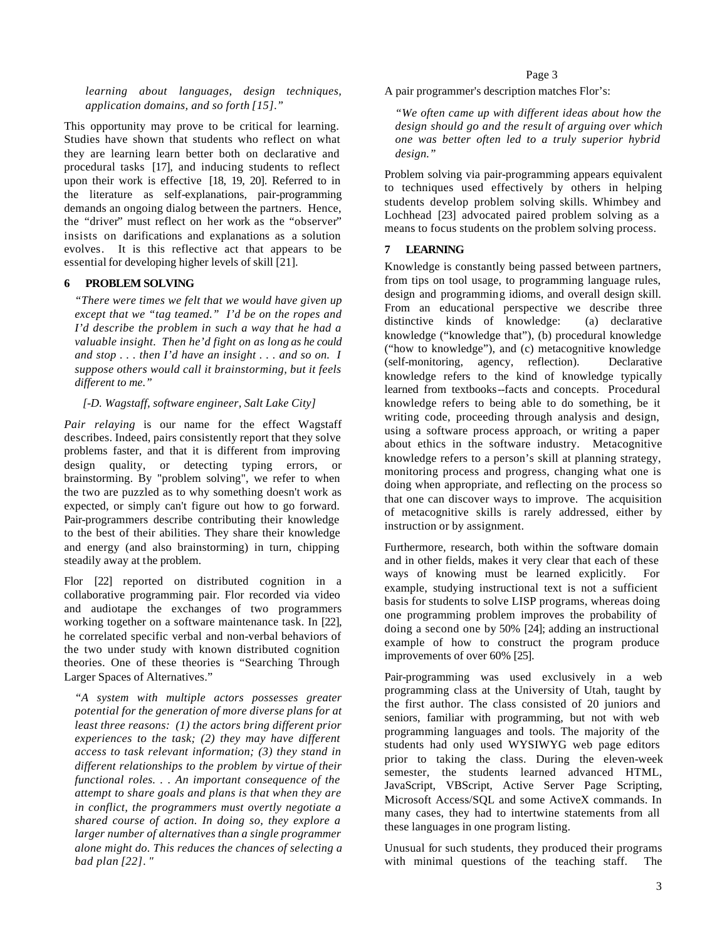*learning about languages, design techniques, application domains, and so forth [15]."* 

This opportunity may prove to be critical for learning. Studies have shown that students who reflect on what they are learning learn better both on declarative and procedural tasks [17], and inducing students to reflect upon their work is effective [18, 19, 20]. Referred to in the literature as self-explanations, pair-programming demands an ongoing dialog between the partners. Hence, the "driver" must reflect on her work as the "observer" insists on darifications and explanations as a solution evolves. It is this reflective act that appears to be essential for developing higher levels of skill [21].

# **6 PROBLEM SOLVING**

*"There were times we felt that we would have given up except that we "tag teamed." I'd be on the ropes and I'd describe the problem in such a way that he had a valuable insight. Then he'd fight on as long as he could and stop . . . then I'd have an insight . . . and so on. I suppose others would call it brainstorming, but it feels different to me."* 

# *[-D. Wagstaff, software engineer, Salt Lake City]*

*Pair relaying* is our name for the effect Wagstaff describes. Indeed, pairs consistently report that they solve problems faster, and that it is different from improving design quality, or detecting typing errors, or brainstorming. By "problem solving", we refer to when the two are puzzled as to why something doesn't work as expected, or simply can't figure out how to go forward. Pair-programmers describe contributing their knowledge to the best of their abilities. They share their knowledge and energy (and also brainstorming) in turn, chipping steadily away at the problem.

Flor [22] reported on distributed cognition in a collaborative programming pair. Flor recorded via video and audiotape the exchanges of two programmers working together on a software maintenance task. In [22], he correlated specific verbal and non-verbal behaviors of the two under study with known distributed cognition theories. One of these theories is "Searching Through Larger Spaces of Alternatives."

*"A system with multiple actors possesses greater potential for the generation of more diverse plans for at least three reasons: (1) the actors bring different prior experiences to the task; (2) they may have different access to task relevant information; (3) they stand in different relationships to the problem by virtue of their functional roles. . . An important consequence of the attempt to share goals and plans is that when they are in conflict, the programmers must overtly negotiate a shared course of action. In doing so, they explore a larger number of alternatives than a single programmer alone might do. This reduces the chances of selecting a bad plan [22]. "*

A pair programmer's description matches Flor's:

*"We often came up with different ideas about how the design should go and the result of arguing over which one was better often led to a truly superior hybrid design."*

Problem solving via pair-programming appears equivalent to techniques used effectively by others in helping students develop problem solving skills. Whimbey and Lochhead [23] advocated paired problem solving as a means to focus students on the problem solving process.

# **7 LEARNING**

Knowledge is constantly being passed between partners, from tips on tool usage, to programming language rules, design and programming idioms, and overall design skill. From an educational perspective we describe three distinctive kinds of knowledge: (a) declarative knowledge ("knowledge that"), (b) procedural knowledge ("how to knowledge"), and (c) metacognitive knowledge (self-monitoring, agency, reflection). Declarative knowledge refers to the kind of knowledge typically learned from textbooks--facts and concepts. Procedural knowledge refers to being able to do something, be it writing code, proceeding through analysis and design, using a software process approach, or writing a paper about ethics in the software industry. Metacognitive knowledge refers to a person's skill at planning strategy, monitoring process and progress, changing what one is doing when appropriate, and reflecting on the process so that one can discover ways to improve. The acquisition of metacognitive skills is rarely addressed, either by instruction or by assignment.

Furthermore, research, both within the software domain and in other fields, makes it very clear that each of these ways of knowing must be learned explicitly. For example, studying instructional text is not a sufficient basis for students to solve LISP programs, whereas doing one programming problem improves the probability of doing a second one by 50% [24]; adding an instructional example of how to construct the program produce improvements of over 60% [25].

Pair-programming was used exclusively in a web programming class at the University of Utah, taught by the first author. The class consisted of 20 juniors and seniors, familiar with programming, but not with web programming languages and tools. The majority of the students had only used WYSIWYG web page editors prior to taking the class. During the eleven-week semester, the students learned advanced HTML, JavaScript, VBScript, Active Server Page Scripting, Microsoft Access/SQL and some ActiveX commands. In many cases, they had to intertwine statements from all these languages in one program listing.

Unusual for such students, they produced their programs with minimal questions of the teaching staff. The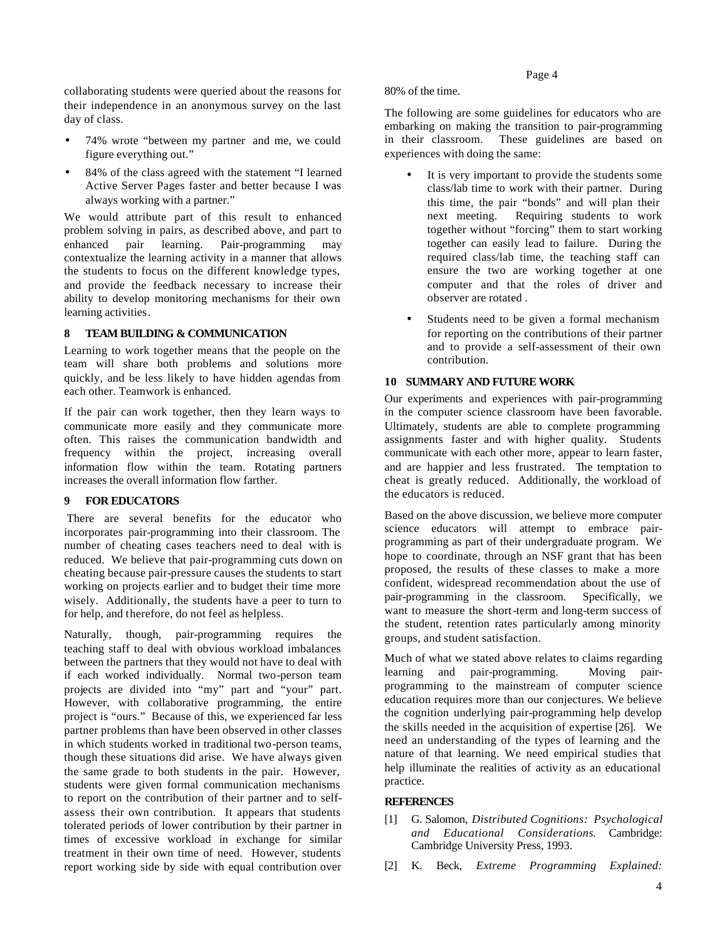collaborating students were queried about the reasons for their independence in an anonymous survey on the last day of class.

- 74% wrote "between my partner and me, we could figure everything out."
- 84% of the class agreed with the statement "I learned Active Server Pages faster and better because I was always working with a partner."

We would attribute part of this result to enhanced problem solving in pairs, as described above, and part to enhanced pair learning. Pair-programming may contextualize the learning activity in a manner that allows the students to focus on the different knowledge types, and provide the feedback necessary to increase their ability to develop monitoring mechanisms for their own learning activities.

# **8 TEAM BUILDING & COMMUNICATION**

Learning to work together means that the people on the team will share both problems and solutions more quickly, and be less likely to have hidden agendas from each other. Teamwork is enhanced.

If the pair can work together, then they learn ways to communicate more easily and they communicate more often. This raises the communication bandwidth and frequency within the project, increasing overall information flow within the team. Rotating partners increases the overall information flow farther.

#### **9 FOR EDUCATORS**

 There are several benefits for the educator who incorporates pair-programming into their classroom. The number of cheating cases teachers need to deal with is reduced. We believe that pair-programming cuts down on cheating because pair-pressure causes the students to start working on projects earlier and to budget their time more wisely. Additionally, the students have a peer to turn to for help, and therefore, do not feel as helpless.

Naturally, though, pair-programming requires the teaching staff to deal with obvious workload imbalances between the partners that they would not have to deal with if each worked individually. Normal two-person team projects are divided into "my" part and "your" part. However, with collaborative programming, the entire project is "ours." Because of this, we experienced far less partner problems than have been observed in other classes in which students worked in traditional two-person teams, though these situations did arise. We have always given the same grade to both students in the pair. However, students were given formal communication mechanisms to report on the contribution of their partner and to selfassess their own contribution. It appears that students tolerated periods of lower contribution by their partner in times of excessive workload in exchange for similar treatment in their own time of need. However, students report working side by side with equal contribution over

80% of the time.

The following are some guidelines for educators who are embarking on making the transition to pair-programming in their classroom. These guidelines are based on experiences with doing the same:

- It is very important to provide the students some class/lab time to work with their partner. During this time, the pair "bonds" and will plan their next meeting. Requiring students to work together without "forcing" them to start working together can easily lead to failure. During the required class/lab time, the teaching staff can ensure the two are working together at one computer and that the roles of driver and observer are rotated .
- Students need to be given a formal mechanism for reporting on the contributions of their partner and to provide a self-assessment of their own contribution.

# **10 SUMMARY AND FUTURE WORK**

Our experiments and experiences with pair-programming in the computer science classroom have been favorable. Ultimately, students are able to complete programming assignments faster and with higher quality. Students communicate with each other more, appear to learn faster, and are happier and less frustrated. The temptation to cheat is greatly reduced. Additionally, the workload of the educators is reduced.

Based on the above discussion, we believe more computer science educators will attempt to embrace pairprogramming as part of their undergraduate program. We hope to coordinate, through an NSF grant that has been proposed, the results of these classes to make a more confident, widespread recommendation about the use of pair-programming in the classroom. Specifically, we want to measure the short-term and long-term success of the student, retention rates particularly among minority groups, and student satisfaction.

Much of what we stated above relates to claims regarding learning and pair-programming. Moving pairprogramming to the mainstream of computer science education requires more than our conjectures. We believe the cognition underlying pair-programming help develop the skills needed in the acquisition of expertise [26]. We need an understanding of the types of learning and the nature of that learning. We need empirical studies that help illuminate the realities of activity as an educational practice.

#### **REFERENCES**

- [1] G. Salomon, *Distributed Cognitions: Psychological and Educational Considerations*. Cambridge: Cambridge University Press, 1993.
- [2] K. Beck, *Extreme Programming Explained:*